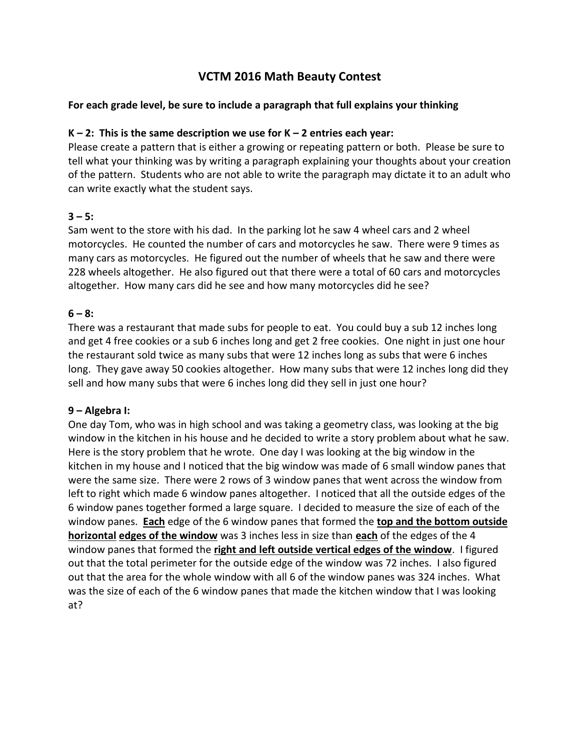# **VCTM 2016 Math Beauty Contest**

# **For each grade level, be sure to include a paragraph that full explains your thinking**

# **K – 2: This is the same description we use for K – 2 entries each year:**

Please create a pattern that is either a growing or repeating pattern or both. Please be sure to tell what your thinking was by writing a paragraph explaining your thoughts about your creation of the pattern. Students who are not able to write the paragraph may dictate it to an adult who can write exactly what the student says.

# $3 - 5:$

Sam went to the store with his dad. In the parking lot he saw 4 wheel cars and 2 wheel motorcycles. He counted the number of cars and motorcycles he saw. There were 9 times as many cars as motorcycles. He figured out the number of wheels that he saw and there were 228 wheels altogether. He also figured out that there were a total of 60 cars and motorcycles altogether. How many cars did he see and how many motorcycles did he see?

## $6 - 8$ :

There was a restaurant that made subs for people to eat. You could buy a sub 12 inches long and get 4 free cookies or a sub 6 inches long and get 2 free cookies. One night in just one hour the restaurant sold twice as many subs that were 12 inches long as subs that were 6 inches long. They gave away 50 cookies altogether. How many subs that were 12 inches long did they sell and how many subs that were 6 inches long did they sell in just one hour?

### **9 – Algebra I:**

One day Tom, who was in high school and was taking a geometry class, was looking at the big window in the kitchen in his house and he decided to write a story problem about what he saw. Here is the story problem that he wrote. One day I was looking at the big window in the kitchen in my house and I noticed that the big window was made of 6 small window panes that were the same size. There were 2 rows of 3 window panes that went across the window from left to right which made 6 window panes altogether. I noticed that all the outside edges of the 6 window panes together formed a large square. I decided to measure the size of each of the window panes. **Each** edge of the 6 window panes that formed the **top and the bottom outside horizontal edges of the window** was 3 inches less in size than **each** of the edges of the 4 window panes that formed the **right and left outside vertical edges of the window**. I figured out that the total perimeter for the outside edge of the window was 72 inches. I also figured out that the area for the whole window with all 6 of the window panes was 324 inches. What was the size of each of the 6 window panes that made the kitchen window that I was looking at?